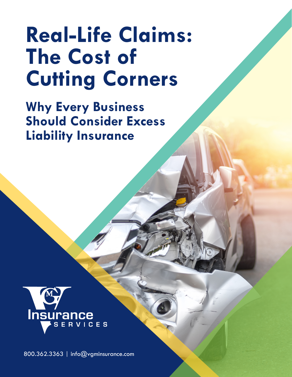## **Real-Life Claims: The Cost of Cutting Corners**

**Why Every Business Should Consider Excess Liability Insurance**



800.362.3363 | [info@vgminsurance.com](mailto:info%40vgminsurance.com?subject=)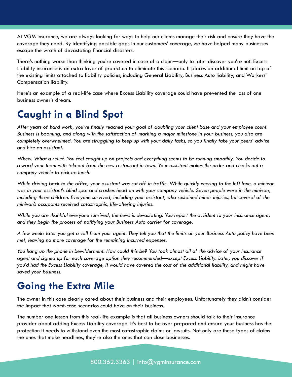At VGM Insurance, we are always looking for ways to help our clients manage their risk and ensure they have the coverage they need. By identifying possible gaps in our customers' coverage, we have helped many businesses escape the wrath of devastating financial disasters.

There's nothing worse than thinking you're covered in case of a claim—only to later discover you're not. Excess Liability insurance is an extra layer of protection to eliminate this scenario. It places an additional limit on top of the existing limits attached to liability policies, including General Liability, Business Auto liability, and Workers' Compensation liability.

Here's an example of a real-life case where Excess Liability coverage could have prevented the loss of one business owner's dream.

## **Caught in a Blind Spot**

*After years of hard work, you've finally reached your goal of doubling your client base and your employee count. Business is booming, and along with the satisfaction of marking a major milestone in your business, you also are completely overwhelmed. You are struggling to keep up with your daily tasks, so you finally take your peers' advice and hire an assistant.* 

*Whew. What a relief. You feel caught up on projects and everything seems to be running smoothly. You decide to reward your team with takeout from the new restaurant in town. Your assistant makes the order and checks out a company vehicle to pick up lunch.* 

*While driving back to the office, your assistant was cut off in traffic. While quickly veering to the left lane, a minivan was in your assistant's blind spot and crashes head on with your company vehicle. Seven people were in the minivan, including three children. Everyone survived, including your assistant, who sustained minor injuries, but several of the minivan's occupants received catastrophic, life-altering injuries.* 

*While you are thankful everyone survived, the news is devastating. You report the accident to your insurance agent, and they begin the process of notifying your Business Auto carrier for coverage.* 

*A few weeks later you get a call from your agent. They tell you that the limits on your Business Auto policy have been met, leaving no more coverage for the remaining incurred expenses.* 

*You hang up the phone in bewilderment. How could this be? You took almost all of the advice of your insurance agent and signed up for each coverage option they recommended—except Excess Liability. Later, you discover if you'd had the Excess Liability coverage, it would have covered the cost of the additional liability, and might have saved your business.*

## **Going the Extra Mile**

The owner in this case clearly cared about their business and their employees. Unfortunately they didn't consider the impact that worst-case scenarios could have on their business.

The number one lesson from this real-life example is that all business owners should talk to their insurance provider about adding Excess Liability coverage. It's best to be over prepared and ensure your business has the protection it needs to withstand even the most catastrophic claims or lawsuits. Not only are these types of claims the ones that make headlines, they're also the ones that can close businesses.